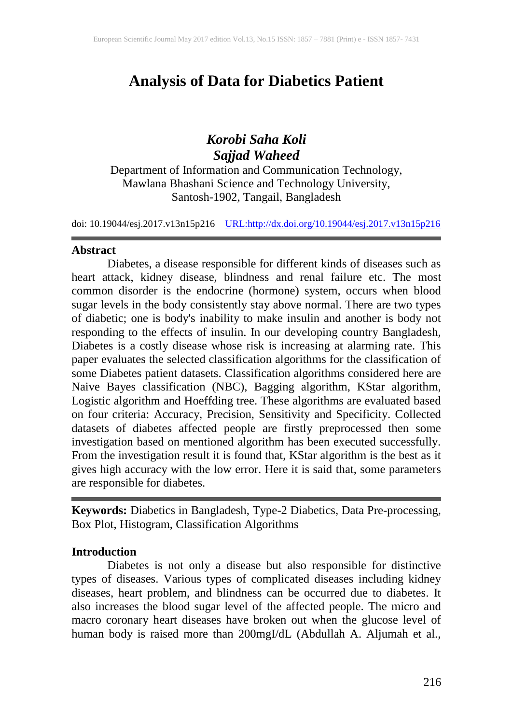# **Analysis of Data for Diabetics Patient**

# *Korobi Saha Koli Sajjad Waheed*

Department of Information and Communication Technology, Mawlana Bhashani Science and Technology University, Santosh-1902, Tangail, Bangladesh

doi: 10.19044/esj.2017.v13n15p216 [URL:http://dx.doi.org/10.19044/esj.2017.v13n15p216](http://dx.doi.org/10.19044/esj.2017.v13n15p216)

## **Abstract**

Diabetes, a disease responsible for different kinds of diseases such as heart attack, kidney disease, blindness and renal failure etc. The most common disorder is the endocrine (hormone) system, occurs when blood sugar levels in the body consistently stay above normal. There are two types of diabetic; one is body's inability to make insulin and another is body not responding to the effects of insulin. In our developing country Bangladesh, Diabetes is a costly disease whose risk is increasing at alarming rate. This paper evaluates the selected classification algorithms for the classification of some Diabetes patient datasets. Classification algorithms considered here are Naive Bayes classification (NBC), Bagging algorithm, KStar algorithm, Logistic algorithm and Hoeffding tree. These algorithms are evaluated based on four criteria: Accuracy, Precision, Sensitivity and Specificity. Collected datasets of diabetes affected people are firstly preprocessed then some investigation based on mentioned algorithm has been executed successfully. From the investigation result it is found that, KStar algorithm is the best as it gives high accuracy with the low error. Here it is said that, some parameters are responsible for diabetes.

**Keywords:** Diabetics in Bangladesh, Type-2 Diabetics, Data Pre-processing, Box Plot, Histogram, Classification Algorithms

## **Introduction**

Diabetes is not only a disease but also responsible for distinctive types of diseases. Various types of complicated diseases including kidney diseases, heart problem, and blindness can be occurred due to diabetes. It also increases the blood sugar level of the affected people. The micro and macro coronary heart diseases have broken out when the glucose level of human body is raised more than 200mgI/dL (Abdullah A. Aljumah et al.,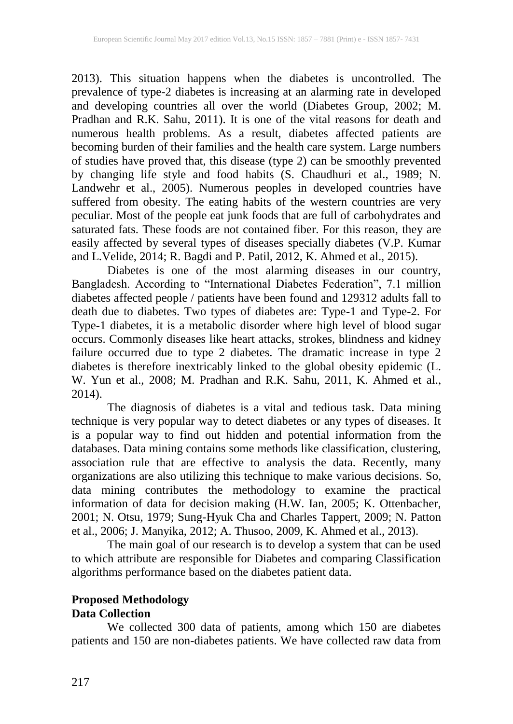2013). This situation happens when the diabetes is uncontrolled. The prevalence of type-2 diabetes is increasing at an alarming rate in developed and developing countries all over the world (Diabetes Group, 2002; M. Pradhan and R.K. Sahu, 2011). It is one of the vital reasons for death and numerous health problems. As a result, diabetes affected patients are becoming burden of their families and the health care system. Large numbers of studies have proved that, this disease (type 2) can be smoothly prevented by changing life style and food habits (S. Chaudhuri et al., 1989; N. Landwehr et al., 2005). Numerous peoples in developed countries have suffered from obesity. The eating habits of the western countries are very peculiar. Most of the people eat junk foods that are full of carbohydrates and saturated fats. These foods are not contained fiber. For this reason, they are easily affected by several types of diseases specially diabetes (V.P. Kumar and L.Velide, 2014; R. Bagdi and P. Patil, 2012, K. Ahmed et al., 2015).

Diabetes is one of the most alarming diseases in our country, Bangladesh. According to "International Diabetes Federation", 7.1 million diabetes affected people / patients have been found and 129312 adults fall to death due to diabetes. Two types of diabetes are: Type-1 and Type-2. For Type-1 diabetes, it is a metabolic disorder where high level of blood sugar occurs. Commonly diseases like heart attacks, strokes, blindness and kidney failure occurred due to type 2 diabetes. The dramatic increase in type 2 diabetes is therefore inextricably linked to the global obesity epidemic (L. W. Yun et al., 2008; M. Pradhan and R.K. Sahu, 2011, K. Ahmed et al., 2014).

The diagnosis of diabetes is a vital and tedious task. Data mining technique is very popular way to detect diabetes or any types of diseases. It is a popular way to find out hidden and potential information from the databases. Data mining contains some methods like classification, clustering, association rule that are effective to analysis the data. Recently, many organizations are also utilizing this technique to make various decisions. So, data mining contributes the methodology to examine the practical information of data for decision making (H.W. Ian, 2005; K. Ottenbacher, 2001; N. Otsu, 1979; Sung-Hyuk Cha and Charles Tappert, 2009; N. Patton et al., 2006; J. Manyika, 2012; A. Thusoo, 2009, K. Ahmed et al., 2013).

The main goal of our research is to develop a system that can be used to which attribute are responsible for Diabetes and comparing Classification algorithms performance based on the diabetes patient data.

## **Proposed Methodology Data Collection**

We collected 300 data of patients, among which 150 are diabetes patients and 150 are non-diabetes patients. We have collected raw data from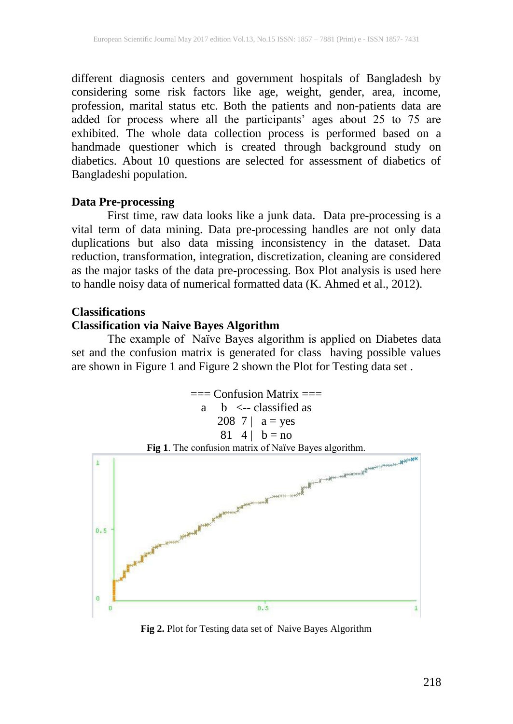different diagnosis centers and government hospitals of Bangladesh by considering some risk factors like age, weight, gender, area, income, profession, marital status etc. Both the patients and non-patients data are added for process where all the participants' ages about 25 to 75 are exhibited. The whole data collection process is performed based on a handmade questioner which is created through background study on diabetics. About 10 questions are selected for assessment of diabetics of Bangladeshi population.

# **Data Pre-processing**

First time, raw data looks like a junk data. Data pre-processing is a vital term of data mining. Data pre-processing handles are not only data duplications but also data missing inconsistency in the dataset. Data reduction, transformation, integration, discretization, cleaning are considered as the major tasks of the data pre-processing. Box Plot analysis is used here to handle noisy data of numerical formatted data (K. Ahmed et al., 2012).

## **Classifications**

# **Classification via Naive Bayes Algorithm**

The example of Naïve Bayes algorithm is applied on Diabetes data set and the confusion matrix is generated for class having possible values are shown in Figure 1 and Figure 2 shown the Plot for Testing data set .



**Fig 2.** Plot for Testing data set of Naive Bayes Algorithm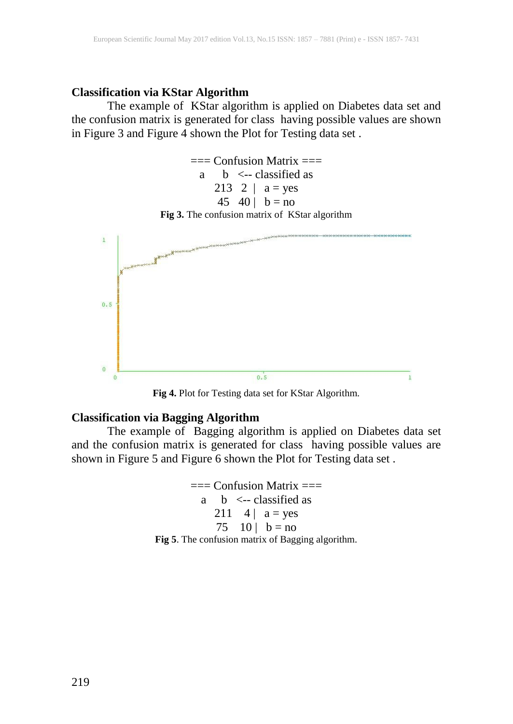# **Classification via KStar Algorithm**

The example of KStar algorithm is applied on Diabetes data set and the confusion matrix is generated for class having possible values are shown in Figure 3 and Figure 4 shown the Plot for Testing data set .





**Fig 4.** Plot for Testing data set for KStar Algorithm.

## **Classification via Bagging Algorithm**

The example of Bagging algorithm is applied on Diabetes data set and the confusion matrix is generated for class having possible values are shown in Figure 5 and Figure 6 shown the Plot for Testing data set .

> $==$  Confusion Matrix  $==$ a  $\,$  b  $\,$  <-- classified as 211  $4 | a = yes$ 75  $10 | b = no$ **Fig 5**. The confusion matrix of Bagging algorithm.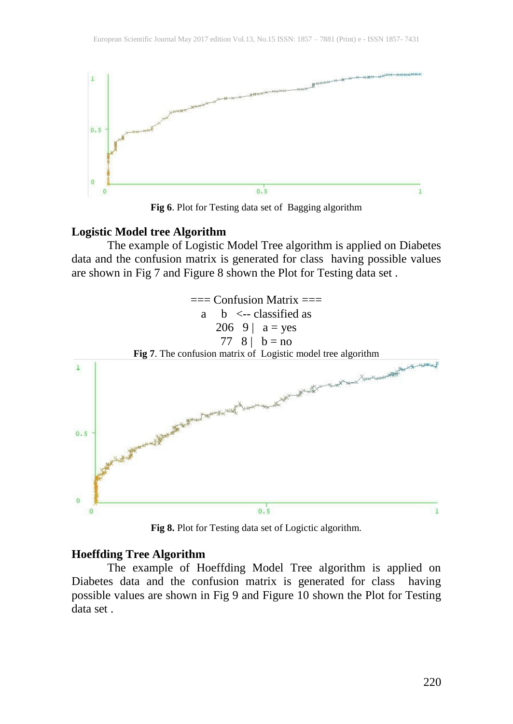

**Fig 6**. Plot for Testing data set of Bagging algorithm

#### **Logistic Model tree Algorithm**

The example of Logistic Model Tree algorithm is applied on Diabetes data and the confusion matrix is generated for class having possible values are shown in Fig 7 and Figure 8 shown the Plot for Testing data set .



**Fig 8.** Plot for Testing data set of Logictic algorithm.

## **Hoeffding Tree Algorithm**

The example of Hoeffding Model Tree algorithm is applied on Diabetes data and the confusion matrix is generated for class having possible values are shown in Fig 9 and Figure 10 shown the Plot for Testing data set .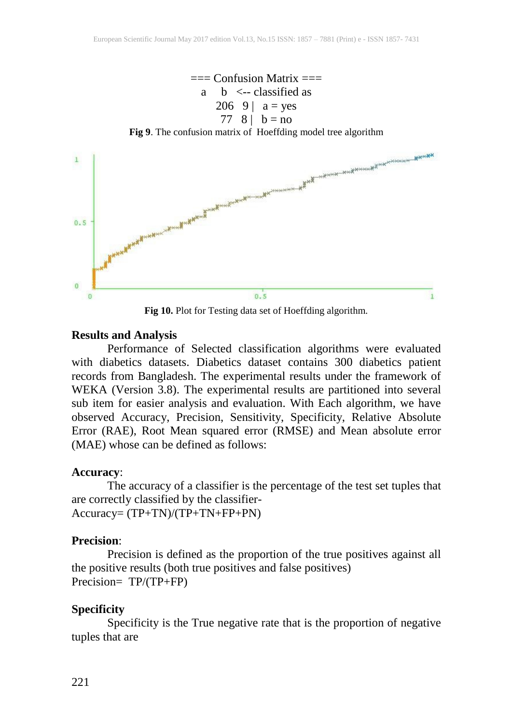

**Fig 10.** Plot for Testing data set of Hoeffding algorithm.

### **Results and Analysis**

Performance of Selected classification algorithms were evaluated with diabetics datasets. Diabetics dataset contains 300 diabetics patient records from Bangladesh. The experimental results under the framework of WEKA (Version 3.8). The experimental results are partitioned into several sub item for easier analysis and evaluation. With Each algorithm, we have observed Accuracy, Precision, Sensitivity, Specificity, Relative Absolute Error (RAE), Root Mean squared error (RMSE) and Mean absolute error (MAE) whose can be defined as follows:

#### **Accuracy**:

The accuracy of a classifier is the percentage of the test set tuples that are correctly classified by the classifier-Accuracy= (TP+TN)/(TP+TN+FP+PN)

## **Precision**:

Precision is defined as the proportion of the true positives against all the positive results (both true positives and false positives) Precision= TP/(TP+FP)

## **Specificity**

Specificity is the True negative rate that is the proportion of negative tuples that are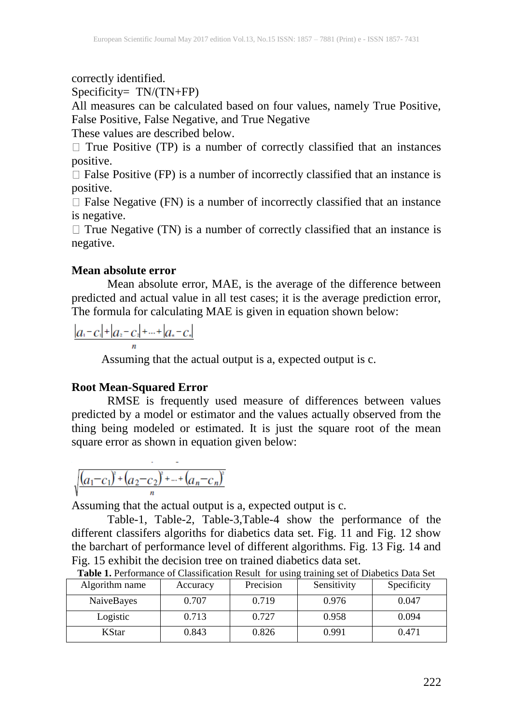correctly identified.

Specificity= TN/(TN+FP)

All measures can be calculated based on four values, namely True Positive, False Positive, False Negative, and True Negative

These values are described below.

 $\Box$  True Positive (TP) is a number of correctly classified that an instances positive.

 $\Box$  False Positive (FP) is a number of incorrectly classified that an instance is positive.

 $\Box$  False Negative (FN) is a number of incorrectly classified that an instance is negative.

 $\Box$  True Negative (TN) is a number of correctly classified that an instance is negative.

# **Mean absolute error**

Mean absolute error, MAE, is the average of the difference between predicted and actual value in all test cases; it is the average prediction error, The formula for calculating MAE is given in equation shown below:

 $|a_1 - c_1| + |a_2 - c_2| + ... + |a_n - c_n|$ 

Assuming that the actual output is a, expected output is c.

# **Root Mean-Squared Error**

RMSE is frequently used measure of differences between values predicted by a model or estimator and the values actually observed from the thing being modeled or estimated. It is just the square root of the mean square error as shown in equation given below:

$$
\sqrt{(a_1-c_1)^2+(a_2-c_2)^2+...+(a_n-c_n)^2}
$$

Assuming that the actual output is a, expected output is c.

Table-1, Table-2, Table-3,Table-4 show the performance of the different classifers algoriths for diabetics data set. Fig. 11 and Fig. 12 show the barchart of performance level of different algorithms. Fig. 13 Fig. 14 and Fig. 15 exhibit the decision tree on trained diabetics data set.

| Algorithm name    | Accuracy | Precision | Sensitivity | Specificity |
|-------------------|----------|-----------|-------------|-------------|
| <b>NaiveBayes</b> | 0.707    | 0.719     | 0.976       | 0.047       |
| Logistic          | 0.713    | 0.727     | 0.958       | 0.094       |
| KStar             | 0.843    | 0.826     | 0.991       | 0.471       |

**Table 1.** Performance of Classification Result for using training set of Diabetics Data Set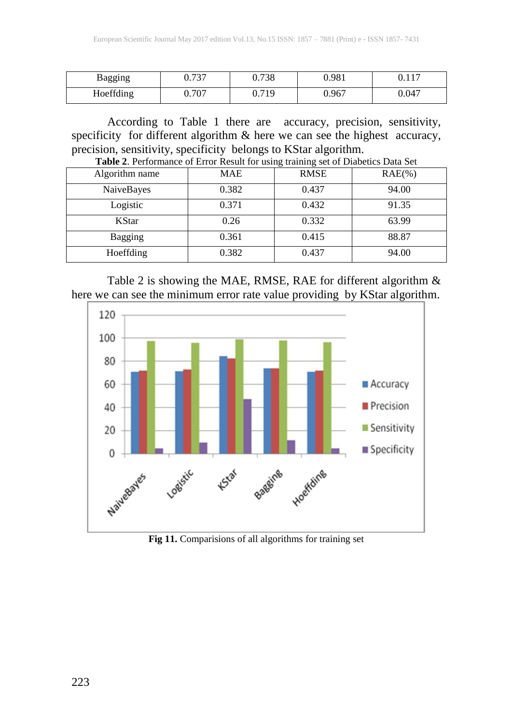| Bagging   | 727<br>v. 1 J | 0.738 | 0.981 | 117<br>V.II. |
|-----------|---------------|-------|-------|--------------|
| Hoeffding | 0.707         | 0.719 | 0.967 | 0.047        |

According to Table 1 there are accuracy, precision, sensitivity, specificity for different algorithm & here we can see the highest accuracy, precision, sensitivity, specificity belongs to KStar algorithm.

| . .<br>Table 2. Performance of Error Result for using training set of Diabetics Data Set |            |             |            |  |  |  |
|------------------------------------------------------------------------------------------|------------|-------------|------------|--|--|--|
| Algorithm name                                                                           | <b>MAE</b> | <b>RMSE</b> | $RAE(\% )$ |  |  |  |
| NaiveBayes                                                                               | 0.382      | 0.437       | 94.00      |  |  |  |
| Logistic                                                                                 | 0.371      | 0.432       | 91.35      |  |  |  |
| <b>KStar</b>                                                                             | 0.26       | 0.332       | 63.99      |  |  |  |
| Bagging                                                                                  | 0.361      | 0.415       | 88.87      |  |  |  |
| Hoeffding                                                                                | 0.382      | 0.437       | 94.00      |  |  |  |







**Fig 11.** Comparisions of all algorithms for training set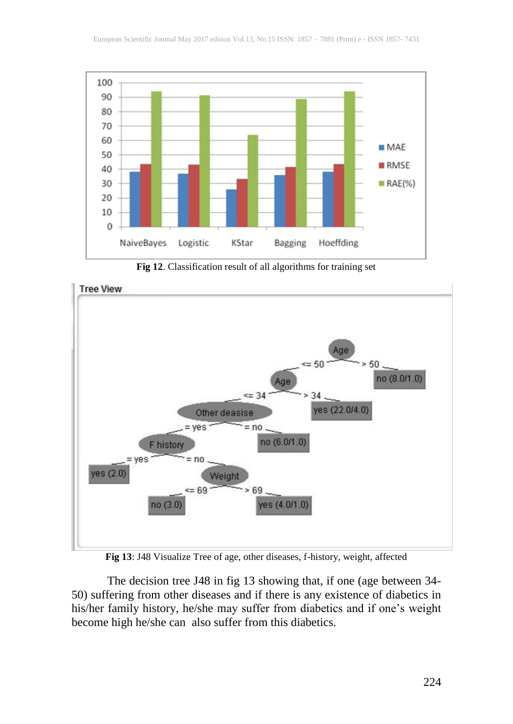

**Fig 12**. Classification result of all algorithms for training set



**Fig 13**: J48 Visualize Tree of age, other diseases, f-history, weight, affected

The decision tree J48 in fig 13 showing that, if one (age between 34- 50) suffering from other diseases and if there is any existence of diabetics in his/her family history, he/she may suffer from diabetics and if one's weight become high he/she can also suffer from this diabetics.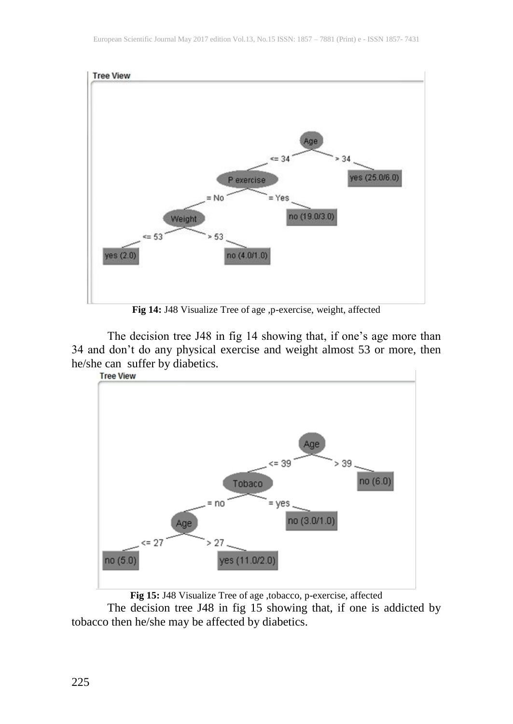

The decision tree J48 in fig 14 showing that, if one's age more than 34 and don't do any physical exercise and weight almost 53 or more, then he/she can suffer by diabetics.<br>
Tree View



**Fig 15:** J48 Visualize Tree of age ,tobacco, p-exercise, affected

The decision tree J48 in fig 15 showing that, if one is addicted by tobacco then he/she may be affected by diabetics.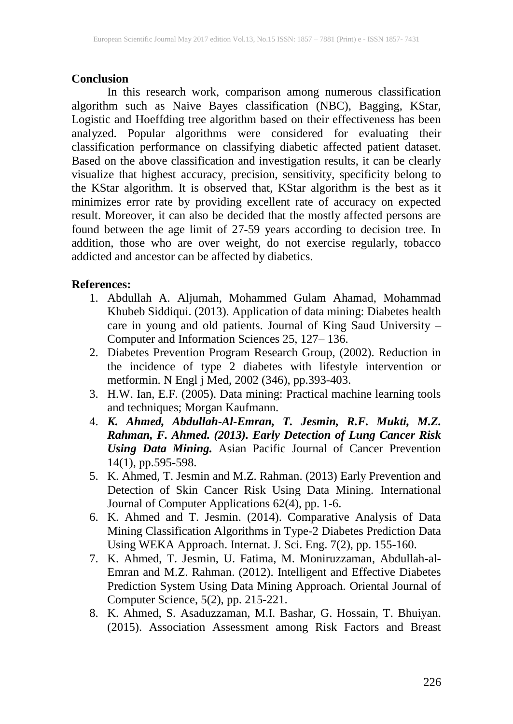# **Conclusion**

In this research work, comparison among numerous classification algorithm such as Naive Bayes classification (NBC), Bagging, KStar, Logistic and Hoeffding tree algorithm based on their effectiveness has been analyzed. Popular algorithms were considered for evaluating their classification performance on classifying diabetic affected patient dataset. Based on the above classification and investigation results, it can be clearly visualize that highest accuracy, precision, sensitivity, specificity belong to the KStar algorithm. It is observed that, KStar algorithm is the best as it minimizes error rate by providing excellent rate of accuracy on expected result. Moreover, it can also be decided that the mostly affected persons are found between the age limit of 27-59 years according to decision tree. In addition, those who are over weight, do not exercise regularly, tobacco addicted and ancestor can be affected by diabetics.

# **References:**

- 1. Abdullah A. Aljumah, Mohammed Gulam Ahamad, Mohammad Khubeb Siddiqui. (2013). Application of data mining: Diabetes health care in young and old patients. Journal of King Saud University – Computer and Information Sciences 25, 127– 136.
- 2. Diabetes Prevention Program Research Group, (2002). Reduction in the incidence of type 2 diabetes with lifestyle intervention or metformin. N Engl j Med, 2002 (346), pp.393-403.
- 3. H.W. Ian, E.F. (2005). Data mining: Practical machine learning tools and techniques; Morgan Kaufmann.
- 4. *K. Ahmed, Abdullah-Al-Emran, T. Jesmin, R.F. Mukti, M.Z. Rahman, F. Ahmed. (2013). Early Detection of Lung Cancer Risk Using Data Mining.* Asian Pacific Journal of Cancer Prevention 14(1), pp.595-598.
- 5. K. Ahmed, T. Jesmin and M.Z. Rahman. (2013) Early Prevention and Detection of Skin Cancer Risk Using Data Mining. International Journal of Computer Applications 62(4), pp. 1-6.
- 6. K. Ahmed and T. Jesmin. (2014). Comparative Analysis of Data Mining Classification Algorithms in Type-2 Diabetes Prediction Data Using WEKA Approach. Internat. J. Sci. Eng. 7(2), pp. 155-160.
- 7. K. Ahmed, T. Jesmin, U. Fatima, M. Moniruzzaman, Abdullah-al-Emran and M.Z. Rahman. (2012). Intelligent and Effective Diabetes Prediction System Using Data Mining Approach. Oriental Journal of Computer Science, 5(2), pp. 215-221.
- 8. K. Ahmed, S. Asaduzzaman, M.I. Bashar, G. Hossain, T. Bhuiyan. (2015). Association Assessment among Risk Factors and Breast